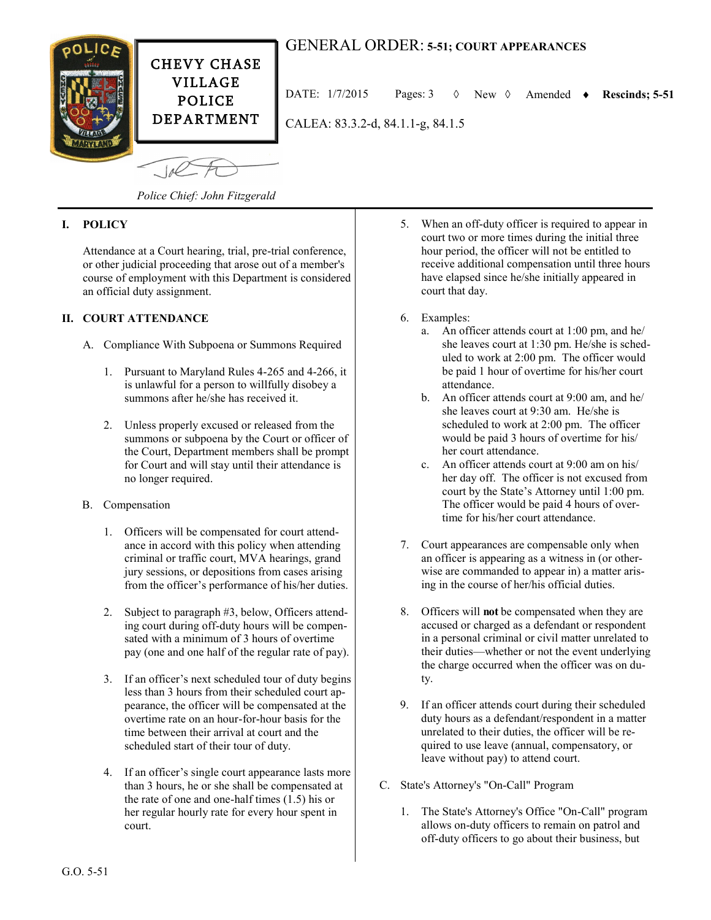

# GENERAL ORDER: **5-51; COURT APPEARANCES**

DATE: 1/7/2015 Pages: 3 New Amended **Rescinds; 5-51**

CALEA: 83.3.2-d, 84.1.1-g, 84.1.5

 $-10<sup>2</sup>$ 

*Police Chief: John Fitzgerald*

## **I. POLICY**

Attendance at a Court hearing, trial, pre-trial conference, or other judicial proceeding that arose out of a member's course of employment with this Department is considered an official duty assignment.

## **II. COURT ATTENDANCE**

- A. Compliance With Subpoena or Summons Required
	- 1. Pursuant to Maryland Rules 4-265 and 4-266, it is unlawful for a person to willfully disobey a summons after he/she has received it.
	- 2. Unless properly excused or released from the summons or subpoena by the Court or officer of the Court, Department members shall be prompt for Court and will stay until their attendance is no longer required.
- B. Compensation
	- 1. Officers will be compensated for court attendance in accord with this policy when attending criminal or traffic court, MVA hearings, grand jury sessions, or depositions from cases arising from the officer's performance of his/her duties.
	- 2. Subject to paragraph #3, below, Officers attending court during off-duty hours will be compensated with a minimum of 3 hours of overtime pay (one and one half of the regular rate of pay).
	- 3. If an officer's next scheduled tour of duty begins less than 3 hours from their scheduled court appearance, the officer will be compensated at the overtime rate on an hour-for-hour basis for the time between their arrival at court and the scheduled start of their tour of duty.
	- 4. If an officer's single court appearance lasts more than 3 hours, he or she shall be compensated at the rate of one and one-half times (1.5) his or her regular hourly rate for every hour spent in court.
- 5. When an off-duty officer is required to appear in court two or more times during the initial three hour period, the officer will not be entitled to receive additional compensation until three hours have elapsed since he/she initially appeared in court that day.
- 6. Examples:
	- a. An officer attends court at 1:00 pm, and he/ she leaves court at 1:30 pm. He/she is scheduled to work at 2:00 pm. The officer would be paid 1 hour of overtime for his/her court attendance.
	- b. An officer attends court at 9:00 am, and he/ she leaves court at 9:30 am. He/she is scheduled to work at 2:00 pm. The officer would be paid 3 hours of overtime for his/ her court attendance.
	- c. An officer attends court at 9:00 am on his/ her day off. The officer is not excused from court by the State's Attorney until 1:00 pm. The officer would be paid 4 hours of overtime for his/her court attendance.
- 7. Court appearances are compensable only when an officer is appearing as a witness in (or otherwise are commanded to appear in) a matter arising in the course of her/his official duties.
- 8. Officers will **not** be compensated when they are accused or charged as a defendant or respondent in a personal criminal or civil matter unrelated to their duties—whether or not the event underlying the charge occurred when the officer was on duty.
- 9. If an officer attends court during their scheduled duty hours as a defendant/respondent in a matter unrelated to their duties, the officer will be required to use leave (annual, compensatory, or leave without pay) to attend court.
- C. State's Attorney's "On-Call" Program
	- 1. The State's Attorney's Office "On-Call" program allows on-duty officers to remain on patrol and off-duty officers to go about their business, but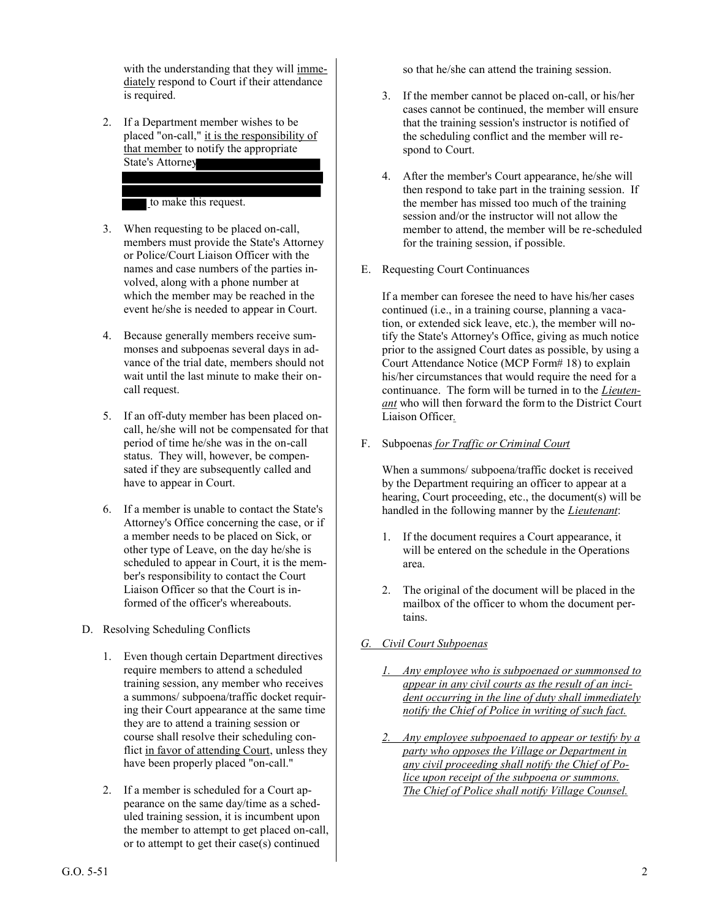with the understanding that they will immediately respond to Court if their attendance is required.

2. If a Department member wishes to be placed "on-call," it is the responsibility of that member to notify the appropriate State's Attorney

to make this request.

- 3. When requesting to be placed on-call, members must provide the State's Attorney or Police/Court Liaison Officer with the names and case numbers of the parties involved, along with a phone number at which the member may be reached in the event he/she is needed to appear in Court.
- 4. Because generally members receive summonses and subpoenas several days in advance of the trial date, members should not wait until the last minute to make their oncall request.
- 5. If an off-duty member has been placed oncall, he/she will not be compensated for that period of time he/she was in the on-call status. They will, however, be compensated if they are subsequently called and have to appear in Court.
- 6. If a member is unable to contact the State's Attorney's Office concerning the case, or if a member needs to be placed on Sick, or other type of Leave, on the day he/she is scheduled to appear in Court, it is the member's responsibility to contact the Court Liaison Officer so that the Court is informed of the officer's whereabouts.
- D. Resolving Scheduling Conflicts
	- 1. Even though certain Department directives require members to attend a scheduled training session, any member who receives a summons/ subpoena/traffic docket requiring their Court appearance at the same time they are to attend a training session or course shall resolve their scheduling conflict in favor of attending Court, unless they have been properly placed "on-call."
	- 2. If a member is scheduled for a Court appearance on the same day/time as a scheduled training session, it is incumbent upon the member to attempt to get placed on-call, or to attempt to get their case(s) continued

so that he/she can attend the training session.

- 3. If the member cannot be placed on-call, or his/her cases cannot be continued, the member will ensure that the training session's instructor is notified of the scheduling conflict and the member will respond to Court.
- 4. After the member's Court appearance, he/she will then respond to take part in the training session. If the member has missed too much of the training session and/or the instructor will not allow the member to attend, the member will be re-scheduled for the training session, if possible.
- E. Requesting Court Continuances

If a member can foresee the need to have his/her cases continued (i.e., in a training course, planning a vacation, or extended sick leave, etc.), the member will notify the State's Attorney's Office, giving as much notice prior to the assigned Court dates as possible, by using a Court Attendance Notice (MCP Form# 18) to explain his/her circumstances that would require the need for a continuance. The form will be turned in to the *Lieutenant* who will then forward the form to the District Court Liaison Officer*.*

F. Subpoenas *for Traffic or Criminal Court*

When a summons/ subpoena/traffic docket is received by the Department requiring an officer to appear at a hearing, Court proceeding, etc., the document(s) will be handled in the following manner by the *Lieutenant*:

- 1. If the document requires a Court appearance, it will be entered on the schedule in the Operations area.
- 2. The original of the document will be placed in the mailbox of the officer to whom the document pertains.
- *G. Civil Court Subpoenas*
	- *1. Any employee who is subpoenaed or summonsed to appear in any civil courts as the result of an incident occurring in the line of duty shall immediately notify the Chief of Police in writing of such fact.*
	- *2. Any employee subpoenaed to appear or testify by a party who opposes the Village or Department in any civil proceeding shall notify the Chief of Police upon receipt of the subpoena or summons. The Chief of Police shall notify Village Counsel.*